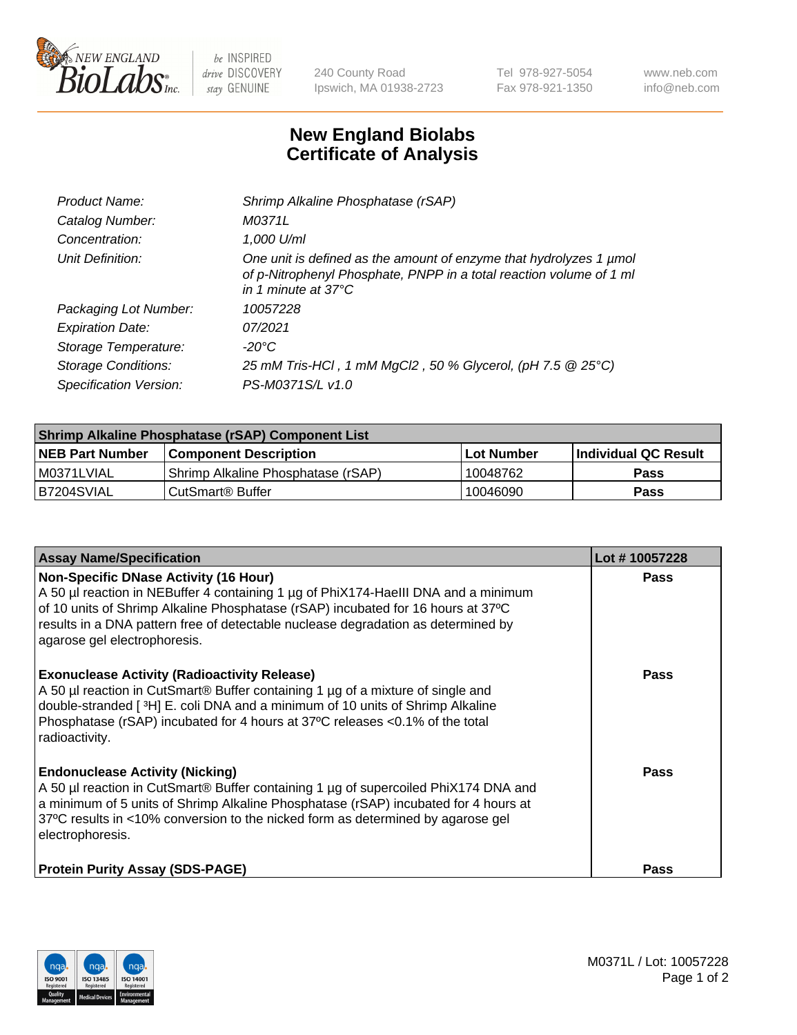

 $be$  INSPIRED drive DISCOVERY stay GENUINE

240 County Road Ipswich, MA 01938-2723 Tel 978-927-5054 Fax 978-921-1350 www.neb.com info@neb.com

## **New England Biolabs Certificate of Analysis**

| Product Name:              | Shrimp Alkaline Phosphatase (rSAP)                                                                                                                                         |
|----------------------------|----------------------------------------------------------------------------------------------------------------------------------------------------------------------------|
| Catalog Number:            | M0371L                                                                                                                                                                     |
| Concentration:             | 1,000 U/ml                                                                                                                                                                 |
| Unit Definition:           | One unit is defined as the amount of enzyme that hydrolyzes 1 µmol<br>of p-Nitrophenyl Phosphate, PNPP in a total reaction volume of 1 ml<br>in 1 minute at $37^{\circ}$ C |
| Packaging Lot Number:      | 10057228                                                                                                                                                                   |
| <b>Expiration Date:</b>    | 07/2021                                                                                                                                                                    |
| Storage Temperature:       | $-20^{\circ}$ C                                                                                                                                                            |
| <b>Storage Conditions:</b> | 25 mM Tris-HCl, 1 mM MgCl2, 50 % Glycerol, (pH 7.5 @ 25°C)                                                                                                                 |
| Specification Version:     | PS-M0371S/L v1.0                                                                                                                                                           |

| <b>Shrimp Alkaline Phosphatase (rSAP) Component List</b> |                                     |            |                       |  |
|----------------------------------------------------------|-------------------------------------|------------|-----------------------|--|
| <b>NEB Part Number</b>                                   | <b>Component Description</b>        | Lot Number | ∣Individual QC Result |  |
| I M0371LVIAL                                             | 'Shrimp Alkaline Phosphatase (rSAP) | 10048762   | <b>Pass</b>           |  |
| IB7204SVIAL                                              | l CutSmart® Buffer                  | 10046090   | <b>Pass</b>           |  |

| <b>Assay Name/Specification</b>                                                                                                                                                                                                                                                                                                             | Lot #10057228 |
|---------------------------------------------------------------------------------------------------------------------------------------------------------------------------------------------------------------------------------------------------------------------------------------------------------------------------------------------|---------------|
| <b>Non-Specific DNase Activity (16 Hour)</b><br>A 50 µl reaction in NEBuffer 4 containing 1 µg of PhiX174-Haelll DNA and a minimum<br>of 10 units of Shrimp Alkaline Phosphatase (rSAP) incubated for 16 hours at 37°C<br>results in a DNA pattern free of detectable nuclease degradation as determined by<br>agarose gel electrophoresis. | Pass          |
| <b>Exonuclease Activity (Radioactivity Release)</b><br>A 50 µl reaction in CutSmart® Buffer containing 1 µg of a mixture of single and<br>double-stranded [3H] E. coli DNA and a minimum of 10 units of Shrimp Alkaline<br>Phosphatase (rSAP) incubated for 4 hours at 37°C releases <0.1% of the total<br>radioactivity.                   | Pass          |
| <b>Endonuclease Activity (Nicking)</b><br>A 50 µl reaction in CutSmart® Buffer containing 1 µg of supercoiled PhiX174 DNA and<br>a minimum of 5 units of Shrimp Alkaline Phosphatase (rSAP) incubated for 4 hours at<br>37°C results in <10% conversion to the nicked form as determined by agarose gel<br>electrophoresis.                 | Pass          |
| <b>Protein Purity Assay (SDS-PAGE)</b>                                                                                                                                                                                                                                                                                                      | Pass          |